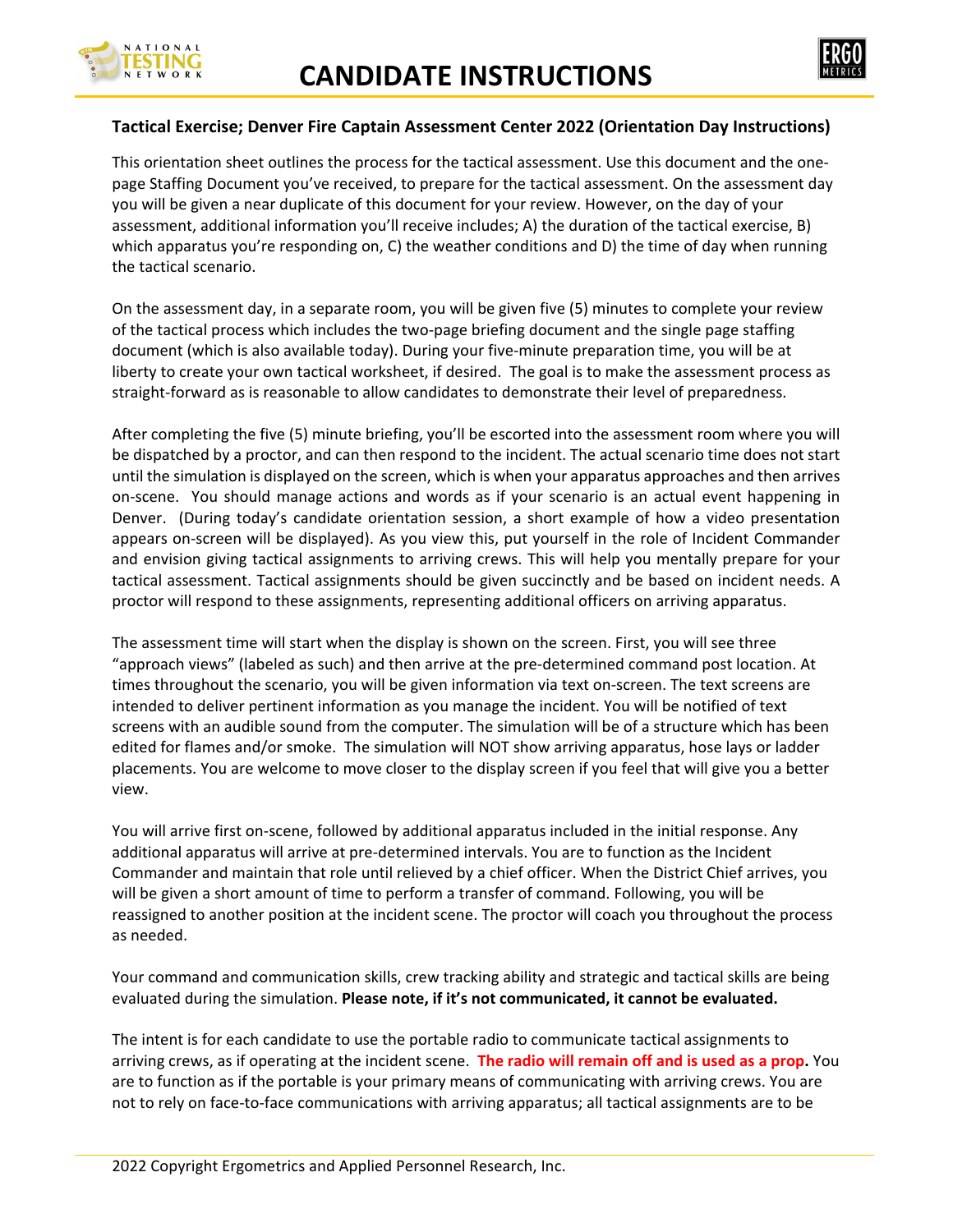



## **Tactical Exercise; Denver Fire Captain Assessment Center 2022 (Orientation Day Instructions)**

This orientation sheet outlines the process for the tactical assessment. Use this document and the one‐ page Staffing Document you've received, to prepare for the tactical assessment. On the assessment day you will be given a near duplicate of this document for your review. However, on the day of your assessment, additional information you'll receive includes; A) the duration of the tactical exercise, B) which apparatus you're responding on, C) the weather conditions and D) the time of day when running the tactical scenario.

On the assessment day, in a separate room, you will be given five (5) minutes to complete your review of the tactical process which includes the two-page briefing document and the single page staffing document (which is also available today). During your five‐minute preparation time, you will be at liberty to create your own tactical worksheet, if desired. The goal is to make the assessment process as straight‐forward as is reasonable to allow candidates to demonstrate their level of preparedness.

After completing the five (5) minute briefing, you'll be escorted into the assessment room where you will be dispatched by a proctor, and can then respond to the incident. The actual scenario time does not start until the simulation is displayed on the screen, which is when your apparatus approaches and then arrives on-scene. You should manage actions and words as if your scenario is an actual event happening in Denver. (During today's candidate orientation session, a short example of how a video presentation appears on‐screen will be displayed). As you view this, put yourself in the role of Incident Commander and envision giving tactical assignments to arriving crews. This will help you mentally prepare for your tactical assessment. Tactical assignments should be given succinctly and be based on incident needs. A proctor will respond to these assignments, representing additional officers on arriving apparatus.

The assessment time will start when the display is shown on the screen. First, you will see three "approach views" (labeled as such) and then arrive at the pre‐determined command post location. At times throughout the scenario, you will be given information via text on-screen. The text screens are intended to deliver pertinent information as you manage the incident. You will be notified of text screens with an audible sound from the computer. The simulation will be of a structure which has been edited for flames and/or smoke. The simulation will NOT show arriving apparatus, hose lays or ladder placements. You are welcome to move closer to the display screen if you feel that will give you a better view.

You will arrive first on‐scene, followed by additional apparatus included in the initial response. Any additional apparatus will arrive at pre‐determined intervals. You are to function as the Incident Commander and maintain that role until relieved by a chief officer. When the District Chief arrives, you will be given a short amount of time to perform a transfer of command. Following, you will be reassigned to another position at the incident scene. The proctor will coach you throughout the process as needed.

Your command and communication skills, crew tracking ability and strategic and tactical skills are being evaluated during the simulation. **Please note, if it's not communicated, it cannot be evaluated.**

The intent is for each candidate to use the portable radio to communicate tactical assignments to arriving crews, as if operating at the incident scene. **The radio will remain off and is used as a prop.** You are to function as if the portable is your primary means of communicating with arriving crews. You are not to rely on face‐to‐face communications with arriving apparatus; all tactical assignments are to be